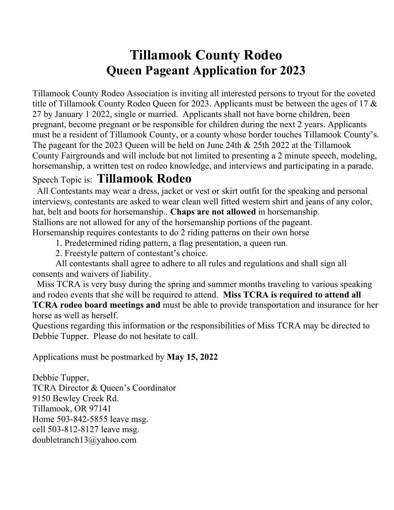# **Tillamook County Rodeo Queen Pageant Application for 2023**

Tillamook County Rodeo Association is inviting all interested persons to tryout for the coveted title of Tillamook County Rodeo Queen for 2023. Applicants must be between the ages of 17 & 27 by January 1 2022, single or married. Applicants shall not have borne children, been pregnant, become pregnant or be responsible for children during the next 2 years. Applicants must be a resident of Tillamook County, or a county whose border touches Tillamook County's. The pageant for the 2023 Queen will be held on June 24th & 25th 2022 at the Tillamook County Fairgrounds and will include but not limited to presenting a 2 minute speech, modeling, horsemanship, a written test on rodeo knowledge, and interviews and participating in a parade.

## Speech Topic is: **Tillamook Rodeo**

 All Contestants may wear a dress, jacket or vest or skirt outfit for the speaking and personal interviews, contestants are asked to wear clean well fitted western shirt and jeans of any color, hat, belt and boots for horsemanship.. **Chaps are not allowed** in horsemanship. Stallions are not allowed for any of the horsemanship portions of the pageant. Horsemanship requires contestants to do 2 riding patterns on their own horse

1. Predetermined riding pattern, a flag presentation, a queen run.

2. Freestyle pattern of contestant's choice.

All contestants shall agree to adhere to all rules and regulations and shall sign all consents and waivers of liability.

 Miss TCRA is very busy during the spring and summer months traveling to various speaking and rodeo events that she will be required to attend. **Miss TCRA is required to attend all** 

**TCRA rodeo board meetings and** must be able to provide transportation and insurance for her horse as well as herself.

Questions regarding this information or the responsibilities of Miss TCRA may be directed to Debbie Tupper. Please do not hesitate to call.

Applications must be postmarked by **May 15, 2022**

Debbie Tupper, TCRA Director & Queen's Coordinator 9150 Bewley Creek Rd. Tillamook, OR 97141 Home 503-842-5855 leave msg. cell 503-812-8127 leave msg. doubletranch13@yahoo.com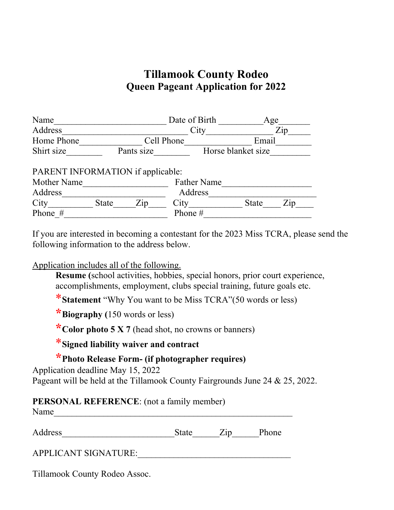### **Tillamook County Rodeo Queen Pageant Application for 2022**

| Name                              |              |            | Date of Birth      | Age                 |
|-----------------------------------|--------------|------------|--------------------|---------------------|
| Address                           |              |            | City               | Zip                 |
| Home Phone                        |              |            | Cell Phone         | Email               |
| Shirt size                        |              | Pants size |                    | Horse blanket size  |
| PARENT INFORMATION if applicable: |              |            |                    |                     |
| Mother Name                       |              |            | <b>Father Name</b> |                     |
| Address                           |              |            | Address            |                     |
| City                              | <b>State</b> | Zip        | City               | Zip<br><b>State</b> |
| Phone #                           |              |            | Phone #            |                     |

If you are interested in becoming a contestant for the 2023 Miss TCRA, please send the following information to the address below.

Application includes all of the following.

 **Resume (**school activities, hobbies, special honors, prior court experience, accomplishments, employment, clubs special training, future goals etc.

\***Statement** "Why You want to be Miss TCRA"(50 words or less)

**\*Biography (**150 words or less)

\***Color photo 5 X 7** (head shot, no crowns or banners)

\***Signed liability waiver and contract** 

#### **\*Photo Release Form- (if photographer requires)**

Application deadline May 15, 2022 Pageant will be held at the Tillamook County Fairgrounds June 24 & 25, 2022.

#### **PERSONAL REFERENCE**: (not a family member)

| Name                 |              |           |       |  |
|----------------------|--------------|-----------|-------|--|
| Address              | <b>State</b> | $\rm Zip$ | Phone |  |
| APPLICANT SIGNATURE: |              |           |       |  |

Tillamook County Rodeo Assoc.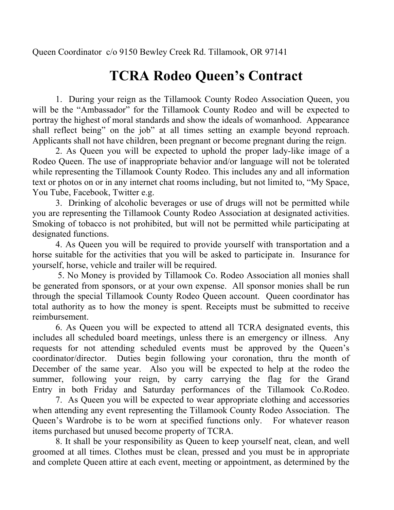Queen Coordinator c/o 9150 Bewley Creek Rd. Tillamook, OR 97141

# **TCRA Rodeo Queen's Contract**

 1. During your reign as the Tillamook County Rodeo Association Queen, you will be the "Ambassador" for the Tillamook County Rodeo and will be expected to portray the highest of moral standards and show the ideals of womanhood. Appearance shall reflect being" on the job" at all times setting an example beyond reproach. Applicants shall not have children, been pregnant or become pregnant during the reign.

 2. As Queen you will be expected to uphold the proper lady-like image of a Rodeo Queen. The use of inappropriate behavior and/or language will not be tolerated while representing the Tillamook County Rodeo. This includes any and all information text or photos on or in any internet chat rooms including, but not limited to, "My Space, You Tube, Facebook, Twitter e.g.

 3. Drinking of alcoholic beverages or use of drugs will not be permitted while you are representing the Tillamook County Rodeo Association at designated activities. Smoking of tobacco is not prohibited, but will not be permitted while participating at designated functions.

 4. As Queen you will be required to provide yourself with transportation and a horse suitable for the activities that you will be asked to participate in. Insurance for yourself, horse, vehicle and trailer will be required.

 5. No Money is provided by Tillamook Co. Rodeo Association all monies shall be generated from sponsors, or at your own expense. All sponsor monies shall be run through the special Tillamook County Rodeo Queen account. Queen coordinator has total authority as to how the money is spent. Receipts must be submitted to receive reimbursement.

 6. As Queen you will be expected to attend all TCRA designated events, this includes all scheduled board meetings, unless there is an emergency or illness. Any requests for not attending scheduled events must be approved by the Queen's coordinator/director. Duties begin following your coronation, thru the month of December of the same year. Also you will be expected to help at the rodeo the summer, following your reign, by carry carrying the flag for the Grand Entry in both Friday and Saturday performances of the Tillamook Co.Rodeo.

7. As Queen you will be expected to wear appropriate clothing and accessories when attending any event representing the Tillamook County Rodeo Association. The Queen's Wardrobe is to be worn at specified functions only. For whatever reason items purchased but unused become property of TCRA.

 8. It shall be your responsibility as Queen to keep yourself neat, clean, and well groomed at all times. Clothes must be clean, pressed and you must be in appropriate and complete Queen attire at each event, meeting or appointment, as determined by the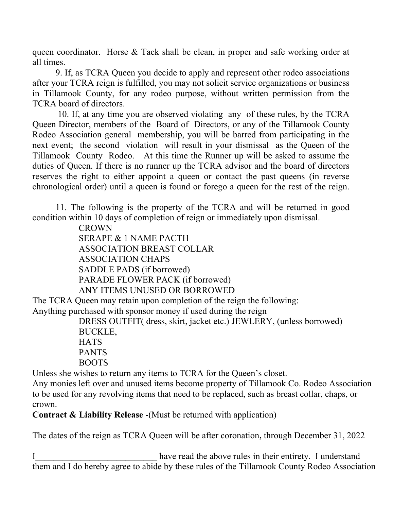queen coordinator. Horse & Tack shall be clean, in proper and safe working order at all times.

 9. If, as TCRA Queen you decide to apply and represent other rodeo associations after your TCRA reign is fulfilled, you may not solicit service organizations or business in Tillamook County, for any rodeo purpose, without written permission from the TCRA board of directors.

 10. If, at any time you are observed violating any of these rules, by the TCRA Queen Director, members of the Board of Directors, or any of the Tillamook County Rodeo Association general membership, you will be barred from participating in the next event; the second violation will result in your dismissal as the Queen of the Tillamook County Rodeo. At this time the Runner up will be asked to assume the duties of Queen. If there is no runner up the TCRA advisor and the board of directors reserves the right to either appoint a queen or contact the past queens (in reverse chronological order) until a queen is found or forego a queen for the rest of the reign.

 11. The following is the property of the TCRA and will be returned in good condition within 10 days of completion of reign or immediately upon dismissal.

> **CROWN**  SERAPE & 1 NAME PACTH ASSOCIATION BREAST COLLAR ASSOCIATION CHAPS SADDLE PADS (if borrowed) PARADE FLOWER PACK (if borrowed) ANY ITEMS UNUSED OR BORROWED

The TCRA Queen may retain upon completion of the reign the following: Anything purchased with sponsor money if used during the reign

DRESS OUTFIT( dress, skirt, jacket etc.) JEWLERY, (unless borrowed) BUCKLE, **HATS**  PANTS BOOTS Unless she wishes to return any items to TCRA for the Queen's closet.

Any monies left over and unused items become property of Tillamook Co. Rodeo Association to be used for any revolving items that need to be replaced, such as breast collar, chaps, or crown.

**Contract & Liability Release** -(Must be returned with application)

The dates of the reign as TCRA Queen will be after coronation, through December 31, 2022

I have read the above rules in their entirety. I understand them and I do hereby agree to abide by these rules of the Tillamook County Rodeo Association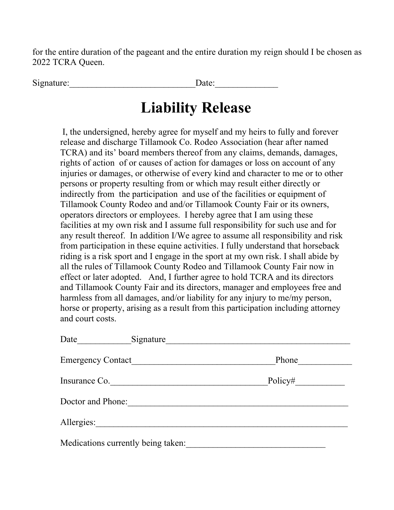for the entire duration of the pageant and the entire duration my reign should I be chosen as 2022 TCRA Queen.

| Signature: |
|------------|
|------------|

Signature: The Contract of the Society of the Contract of the Contract of the Contract of the Contract of the Contract of the Contract of the Contract of the Contract of the Contract of the Contract of the Contract of the

# **Liability Release**

 I, the undersigned, hereby agree for myself and my heirs to fully and forever release and discharge Tillamook Co. Rodeo Association (hear after named TCRA) and its' board members thereof from any claims, demands, damages, rights of action of or causes of action for damages or loss on account of any injuries or damages, or otherwise of every kind and character to me or to other persons or property resulting from or which may result either directly or indirectly from the participation and use of the facilities or equipment of Tillamook County Rodeo and and/or Tillamook County Fair or its owners, operators directors or employees. I hereby agree that I am using these facilities at my own risk and I assume full responsibility for such use and for any result thereof. In addition I/We agree to assume all responsibility and risk from participation in these equine activities. I fully understand that horseback riding is a risk sport and I engage in the sport at my own risk. I shall abide by all the rules of Tillamook County Rodeo and Tillamook County Fair now in effect or later adopted. And, I further agree to hold TCRA and its directors and Tillamook County Fair and its directors, manager and employees free and harmless from all damages, and/or liability for any injury to me/my person, horse or property, arising as a result from this participation including attorney and court costs.

| Date<br>Signature                  |         |
|------------------------------------|---------|
| <b>Emergency Contact</b>           | Phone   |
| Insurance Co.                      | Policy# |
| Doctor and Phone:                  |         |
| Allergies:                         |         |
| Medications currently being taken: |         |